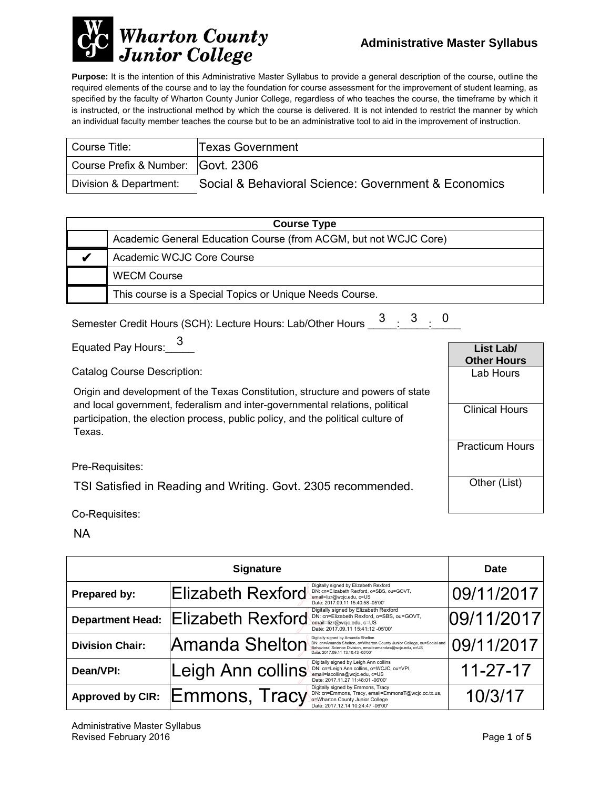

**Purpose:** It is the intention of this Administrative Master Syllabus to provide a general description of the course, outline the required elements of the course and to lay the foundation for course assessment for the improvement of student learning, as specified by the faculty of Wharton County Junior College, regardless of who teaches the course, the timeframe by which it is instructed, or the instructional method by which the course is delivered. It is not intended to restrict the manner by which an individual faculty member teaches the course but to be an administrative tool to aid in the improvement of instruction.

| Course Title:                      | <b>Texas Government</b>                             |
|------------------------------------|-----------------------------------------------------|
| Course Prefix & Number: Govt. 2306 |                                                     |
| Division & Department:             | Social & Behavioral Science: Government & Economics |

| <b>Course Type</b> |                                                                  |  |
|--------------------|------------------------------------------------------------------|--|
|                    | Academic General Education Course (from ACGM, but not WCJC Core) |  |
|                    | Academic WCJC Core Course                                        |  |
|                    | <b>WECM Course</b>                                               |  |
|                    | This course is a Special Topics or Unique Needs Course.          |  |

| Semester Credit Hours (SCH): Lecture Hours: Lab/Other Hours 3 3 3 0 |  |  |
|---------------------------------------------------------------------|--|--|
|                                                                     |  |  |

Equated Pay Hours:  $\frac{3}{2}$ 

Catalog Course Description:

Origin and development of the Texas Constitution, structure and powers of state and local government, federalism and inter-governmental relations, political participation, the election process, public policy, and the political culture of Texas.

Pre-Requisites:

TSI Satisfied in Reading and Writing. Govt. 2305 recommended.

Co-Requisites:

NA

| <b>Signature</b>        |                          |                                                                                                                                                                                                               | <b>Date</b>    |  |
|-------------------------|--------------------------|---------------------------------------------------------------------------------------------------------------------------------------------------------------------------------------------------------------|----------------|--|
| Prepared by:            | Elizabeth Rexford        | Digitally signed by Elizabeth Rexford<br>DN: cn=Elizabeth Rexford, o=SBS, ou=GOVT,<br>email=lizr@wcjc.edu, c=US<br>Date: 2017.09.11 15:40:58 -05'00'                                                          | 09/11/2017     |  |
| <b>Department Head:</b> | <b>Elizabeth Rexford</b> | Digitally signed by Elizabeth Rexford<br>DN: cn=Elizabeth Rexford, o=SBS, ou=GOVT,<br>email=lizr@wcjc.edu, c=US<br>Date: 2017.09.11 15:41:12 -05'00'                                                          | 09/11/2017     |  |
| <b>Division Chair:</b>  | Amanda Shelton           | Digitally signed by Amanda Shelton<br>DN: cn=Amanda Shelton, o=Wharton County Junior College, ou=Social and<br>Behavioral Science Division, email=amandas@wcjc.edu, c=US<br>Date: 2017.09.11 13:10:43 -05'00' | 09/11/2017     |  |
| Dean/VPI:               | Leigh Ann collins        | Digitally signed by Leigh Ann collins<br>DN: cn=Leigh Ann collins, o=WCJC, ou=VPI,<br>email=lacollins@wcjc.edu, c=US<br>Date: 2017.11.27 11:48:01 -06'00'                                                     | $11 - 27 - 17$ |  |
| <b>Approved by CIR:</b> | Emmons, Tracy            | Digitally signed by Emmons, Tracy<br>DN: cn=Emmons, Tracy, email=EmmonsT@wcjc.cc.tx.us,<br>o=Wharton County Junior College<br>Date: 2017.12.14 10:24:47 -06'00'                                               | 10/3/17        |  |

**List Lab/ Other Hours** Lab Hours

Clinical Hours

Practicum Hours

Other (List)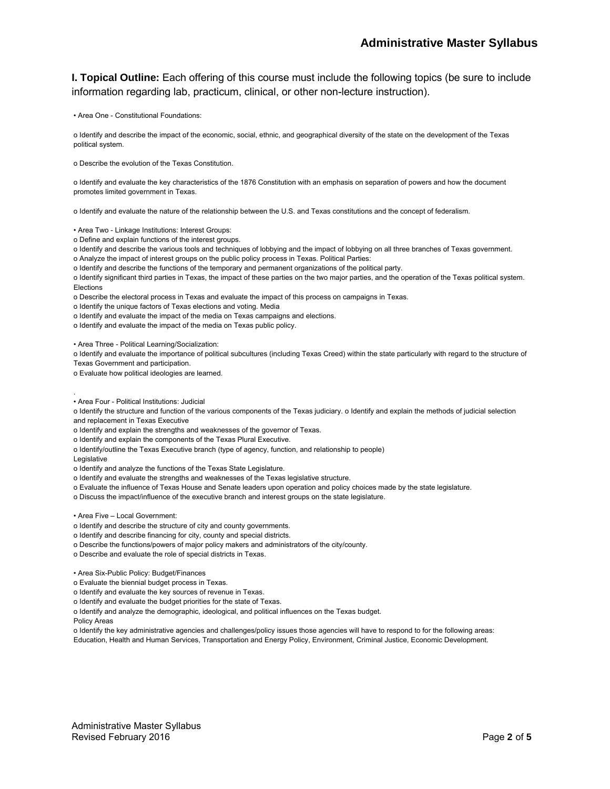**I. Topical Outline:** Each offering of this course must include the following topics (be sure to include information regarding lab, practicum, clinical, or other non-lecture instruction).

• Area One - Constitutional Foundations:

o Identify and describe the impact of the economic, social, ethnic, and geographical diversity of the state on the development of the Texas political system.

o Describe the evolution of the Texas Constitution.

o Identify and evaluate the key characteristics of the 1876 Constitution with an emphasis on separation of powers and how the document promotes limited government in Texas.

o Identify and evaluate the nature of the relationship between the U.S. and Texas constitutions and the concept of federalism.

• Area Two - Linkage Institutions: Interest Groups:

o Define and explain functions of the interest groups.

o Identify and describe the various tools and techniques of lobbying and the impact of lobbying on all three branches of Texas government.

o Analyze the impact of interest groups on the public policy process in Texas. Political Parties:

o Identify and describe the functions of the temporary and permanent organizations of the political party.

o Identify significant third parties in Texas, the impact of these parties on the two major parties, and the operation of the Texas political system. Elections

o Describe the electoral process in Texas and evaluate the impact of this process on campaigns in Texas.

o Identify the unique factors of Texas elections and voting. Media

o Identify and evaluate the impact of the media on Texas campaigns and elections.

o Identify and evaluate the impact of the media on Texas public policy.

• Area Three - Political Learning/Socialization:

o Identify and evaluate the importance of political subcultures (including Texas Creed) within the state particularly with regard to the structure of Texas Government and participation.

o Evaluate how political ideologies are learned.

• Area Four - Political Institutions: Judicial

o Identify the structure and function of the various components of the Texas judiciary. o Identify and explain the methods of judicial selection and replacement in Texas Executive

o Identify and explain the strengths and weaknesses of the governor of Texas.

o Identify and explain the components of the Texas Plural Executive.

o Identify/outline the Texas Executive branch (type of agency, function, and relationship to people)

Legislative

.

o Identify and analyze the functions of the Texas State Legislature.

o Identify and evaluate the strengths and weaknesses of the Texas legislative structure.

o Evaluate the influence of Texas House and Senate leaders upon operation and policy choices made by the state legislature.

o Discuss the impact/influence of the executive branch and interest groups on the state legislature.

• Area Five – Local Government:

o Identify and describe the structure of city and county governments.

o Identify and describe financing for city, county and special districts.

o Describe the functions/powers of major policy makers and administrators of the city/county.

o Describe and evaluate the role of special districts in Texas.

• Area Six-Public Policy: Budget/Finances

o Evaluate the biennial budget process in Texas.

o Identify and evaluate the key sources of revenue in Texas.

o Identify and evaluate the budget priorities for the state of Texas.

o Identify and analyze the demographic, ideological, and political influences on the Texas budget.

Policy Areas

o Identify the key administrative agencies and challenges/policy issues those agencies will have to respond to for the following areas: Education, Health and Human Services, Transportation and Energy Policy, Environment, Criminal Justice, Economic Development.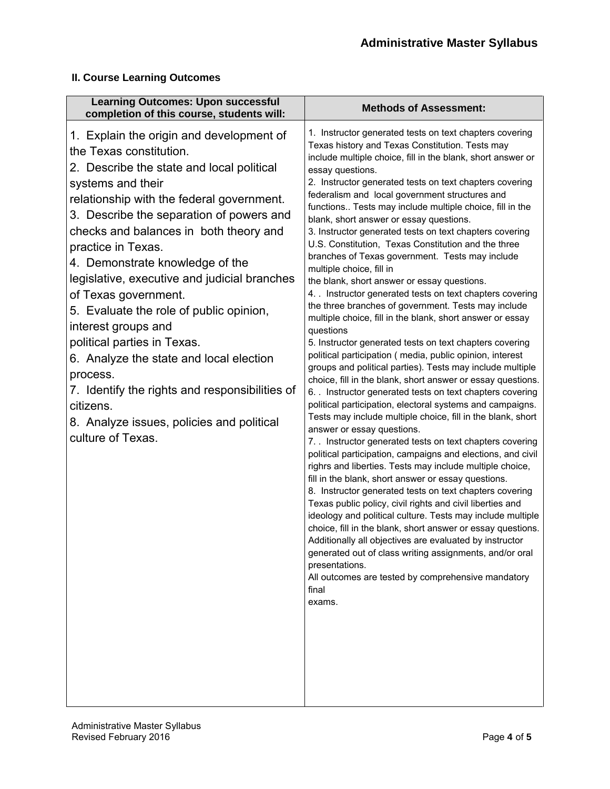#### **II. Course Learning Outcomes**

| <b>Learning Outcomes: Upon successful</b><br>completion of this course, students will:                                                                                                                                                                                                                                                                                                                                                                                                                                                                                                                                                                                                             | <b>Methods of Assessment:</b>                                                                                                                                                                                                                                                                                                                                                                                                                                                                                                                                                                                                                                                                                                                                                                                                                                                                                                                                                                                                                                                                                                                                                                                                                                                                                                                                                                                                                                                                                                                                                                                                                                                                                                                                                                                                                                                                                                                                                                                                                                |
|----------------------------------------------------------------------------------------------------------------------------------------------------------------------------------------------------------------------------------------------------------------------------------------------------------------------------------------------------------------------------------------------------------------------------------------------------------------------------------------------------------------------------------------------------------------------------------------------------------------------------------------------------------------------------------------------------|--------------------------------------------------------------------------------------------------------------------------------------------------------------------------------------------------------------------------------------------------------------------------------------------------------------------------------------------------------------------------------------------------------------------------------------------------------------------------------------------------------------------------------------------------------------------------------------------------------------------------------------------------------------------------------------------------------------------------------------------------------------------------------------------------------------------------------------------------------------------------------------------------------------------------------------------------------------------------------------------------------------------------------------------------------------------------------------------------------------------------------------------------------------------------------------------------------------------------------------------------------------------------------------------------------------------------------------------------------------------------------------------------------------------------------------------------------------------------------------------------------------------------------------------------------------------------------------------------------------------------------------------------------------------------------------------------------------------------------------------------------------------------------------------------------------------------------------------------------------------------------------------------------------------------------------------------------------------------------------------------------------------------------------------------------------|
| 1. Explain the origin and development of<br>the Texas constitution.<br>2. Describe the state and local political<br>systems and their<br>relationship with the federal government.<br>3. Describe the separation of powers and<br>checks and balances in both theory and<br>practice in Texas.<br>4. Demonstrate knowledge of the<br>legislative, executive and judicial branches<br>of Texas government.<br>5. Evaluate the role of public opinion,<br>interest groups and<br>political parties in Texas.<br>6. Analyze the state and local election<br>process.<br>7. Identify the rights and responsibilities of<br>citizens.<br>8. Analyze issues, policies and political<br>culture of Texas. | 1. Instructor generated tests on text chapters covering<br>Texas history and Texas Constitution. Tests may<br>include multiple choice, fill in the blank, short answer or<br>essay questions.<br>2. Instructor generated tests on text chapters covering<br>federalism and local government structures and<br>functions Tests may include multiple choice, fill in the<br>blank, short answer or essay questions.<br>3. Instructor generated tests on text chapters covering<br>U.S. Constitution, Texas Constitution and the three<br>branches of Texas government. Tests may include<br>multiple choice, fill in<br>the blank, short answer or essay questions.<br>4. Instructor generated tests on text chapters covering<br>the three branches of government. Tests may include<br>multiple choice, fill in the blank, short answer or essay<br>questions<br>5. Instructor generated tests on text chapters covering<br>political participation (media, public opinion, interest<br>groups and political parties). Tests may include multiple<br>choice, fill in the blank, short answer or essay questions.<br>6. . Instructor generated tests on text chapters covering<br>political participation, electoral systems and campaigns.<br>Tests may include multiple choice, fill in the blank, short<br>answer or essay questions.<br>7. . Instructor generated tests on text chapters covering<br>political participation, campaigns and elections, and civil<br>righrs and liberties. Tests may include multiple choice,<br>fill in the blank, short answer or essay questions.<br>8. Instructor generated tests on text chapters covering<br>Texas public policy, civil rights and civil liberties and<br>ideology and political culture. Tests may include multiple<br>choice, fill in the blank, short answer or essay questions.<br>Additionally all objectives are evaluated by instructor<br>generated out of class writing assignments, and/or oral<br>presentations.<br>All outcomes are tested by comprehensive mandatory<br>final<br>exams. |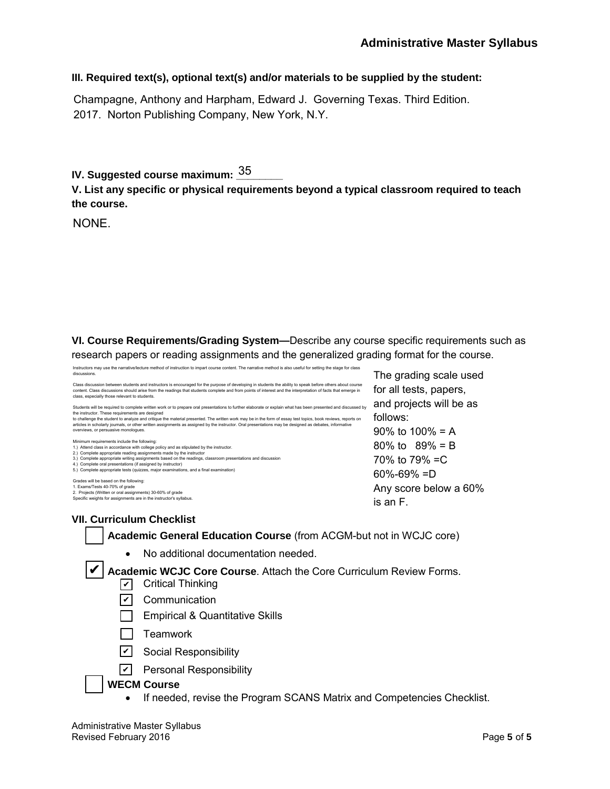#### **III. Required text(s), optional text(s) and/or materials to be supplied by the student:**

Champagne, Anthony and Harpham, Edward J. Governing Texas. Third Edition. 2017. Norton Publishing Company, New York, N.Y.

IV. Suggested course maximum: <u><sup>35</sup>\_\_\_\_\_</u>

**V. List any specific or physical requirements beyond a typical classroom required to teach the course.**

NONE.

**VI. Course Requirements/Grading System—**Describe any course specific requirements such as research papers or reading assignments and the generalized grading format for the course.

| The grading scale used  |
|-------------------------|
|                         |
| and projects will be as |
|                         |
|                         |
|                         |
|                         |
|                         |
|                         |
|                         |
|                         |
| Any score below a 60%   |
|                         |
|                         |

**VII. Curriculum Checklist**

**Academic General Education Course** (from ACGM-but not in WCJC core)

• No additional documentation needed.

✔ Academic WCJC Core Course. Attach the Core Curriculum Review Forms.

- ✔ Critical Thinking
- <u>✔</u> Communication
- **Empirical & Quantitative Skills**
- $\Box$  Teamwork
- <u>✔</u> Social Responsibility
- <u>v</u> Personal Responsibility

#### **WECM Course**

• If needed, revise the Program SCANS Matrix and Competencies Checklist.

Administrative Master Syllabus Revised February 2016 **Page 5** of 5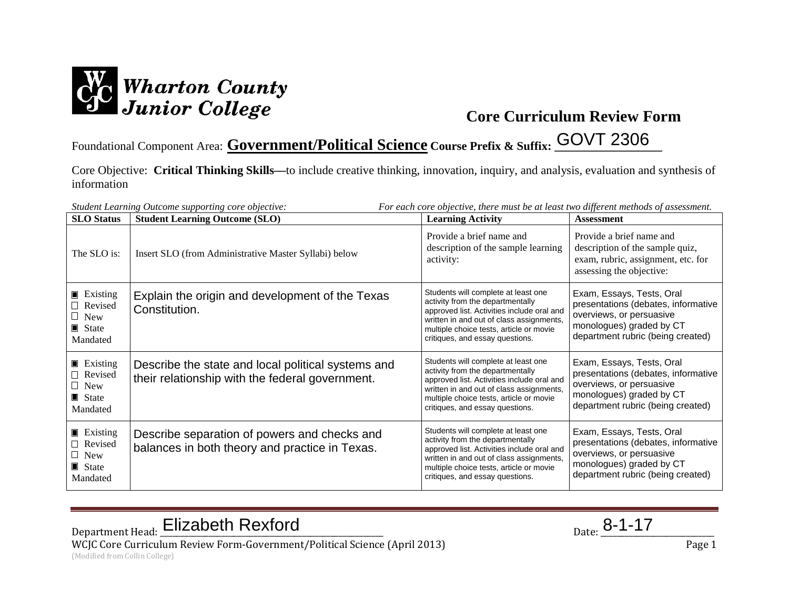

Foundational Component Area: **Government/Political Science Course Prefix & Suffix: \_\_\_\_\_\_\_\_\_\_\_\_\_\_\_\_\_\_** GOVT 2306

Core Objective: **Critical Thinking Skills—**to include creative thinking, innovation, inquiry, and analysis, evaluation and synthesis of information

| Student Learning Outcome supporting core objective:<br>For each core objective, there must be at least two different methods of assessment. |                                                                                                       |                                                                                                                                                                                                                                                 |                                                                                                                                                               |  |
|---------------------------------------------------------------------------------------------------------------------------------------------|-------------------------------------------------------------------------------------------------------|-------------------------------------------------------------------------------------------------------------------------------------------------------------------------------------------------------------------------------------------------|---------------------------------------------------------------------------------------------------------------------------------------------------------------|--|
| <b>SLO</b> Status                                                                                                                           | <b>Student Learning Outcome (SLO)</b>                                                                 | <b>Learning Activity</b>                                                                                                                                                                                                                        | <b>Assessment</b>                                                                                                                                             |  |
| The SLO is:                                                                                                                                 | Insert SLO (from Administrative Master Syllabi) below                                                 | Provide a brief name and<br>description of the sample learning<br>activity:                                                                                                                                                                     | Provide a brief name and<br>description of the sample quiz,<br>exam, rubric, assignment, etc. for<br>assessing the objective:                                 |  |
| $\blacksquare$ Existing<br>$\Box$ Revised<br>$\Box$ New<br>$\blacksquare$ State<br>Mandated                                                 | Explain the origin and development of the Texas<br>Constitution.                                      | Students will complete at least one<br>activity from the departmentally<br>approved list. Activities include oral and<br>written in and out of class assignments,<br>multiple choice tests, article or movie<br>critiques, and essay questions. | Exam, Essays, Tests, Oral<br>presentations (debates, informative<br>overviews, or persuasive<br>monologues) graded by CT<br>department rubric (being created) |  |
| <b>Existing</b><br>□ Revised<br>$\Box$ New<br>$\blacksquare$ State<br>Mandated                                                              | Describe the state and local political systems and<br>their relationship with the federal government. | Students will complete at least one<br>activity from the departmentally<br>approved list. Activities include oral and<br>written in and out of class assignments,<br>multiple choice tests, article or movie<br>critiques, and essay questions. | Exam, Essays, Tests, Oral<br>presentations (debates, informative<br>overviews, or persuasive<br>monologues) graded by CT<br>department rubric (being created) |  |
| $\blacksquare$ Existing<br>$\Box$ Revised<br>$\Box$ New<br>State<br>Mandated                                                                | Describe separation of powers and checks and<br>balances in both theory and practice in Texas.        | Students will complete at least one<br>activity from the departmentally<br>approved list. Activities include oral and<br>written in and out of class assignments,<br>multiple choice tests, article or movie<br>critiques, and essay questions. | Exam, Essays, Tests, Oral<br>presentations (debates, informative<br>overviews, or persuasive<br>monologues) graded by CT<br>department rubric (being created) |  |

Department Head: Elizabeth Rexford Department Head: <u>Elizabeth Rexford</u> Parte 2014

WCJC Core Curriculum Review Form-Government/Political Science (April 2013) Page 1 (Modified from Collin College)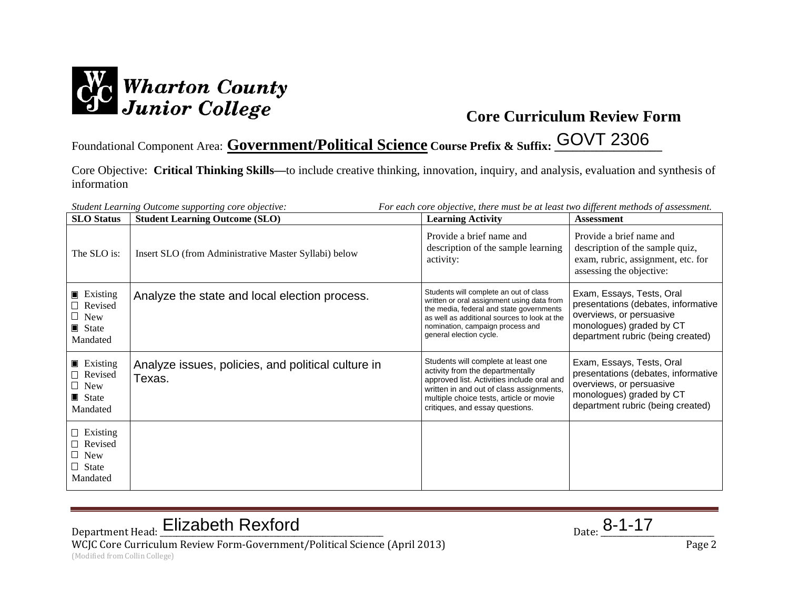

Foundational Component Area: **Government/Political Science Course Prefix & Suffix: \_\_\_\_\_\_\_\_\_\_\_\_\_\_\_\_\_\_** GOVT 2306

Core Objective: **Critical Thinking Skills—**to include creative thinking, innovation, inquiry, and analysis, evaluation and synthesis of information

| For each core objective, there must be at least two different methods of assessment.<br>Student Learning Outcome supporting core objective: |                                                              |                                                                                                                                                                                                                                                 |                                                                                                                                                               |  |  |
|---------------------------------------------------------------------------------------------------------------------------------------------|--------------------------------------------------------------|-------------------------------------------------------------------------------------------------------------------------------------------------------------------------------------------------------------------------------------------------|---------------------------------------------------------------------------------------------------------------------------------------------------------------|--|--|
| <b>SLO</b> Status                                                                                                                           | <b>Student Learning Outcome (SLO)</b>                        | <b>Learning Activity</b>                                                                                                                                                                                                                        | <b>Assessment</b>                                                                                                                                             |  |  |
| The SLO is:                                                                                                                                 | Insert SLO (from Administrative Master Syllabi) below        | Provide a brief name and<br>description of the sample learning<br>activity:                                                                                                                                                                     | Provide a brief name and<br>description of the sample quiz,<br>exam, rubric, assignment, etc. for<br>assessing the objective:                                 |  |  |
| $\blacksquare$ Existing<br>$\Box$ Revised<br>$\Box$ New<br>$\blacksquare$ State<br>Mandated                                                 | Analyze the state and local election process.                | Students will complete an out of class<br>written or oral assignment using data from<br>the media, federal and state governments<br>as well as additional sources to look at the<br>nomination, campaign process and<br>general election cycle. | Exam, Essays, Tests, Oral<br>presentations (debates, informative<br>overviews, or persuasive<br>monologues) graded by CT<br>department rubric (being created) |  |  |
| $\blacksquare$ Existing<br>$\Box$ Revised<br>$\Box$ New<br>$\blacksquare$ State<br>Mandated                                                 | Analyze issues, policies, and political culture in<br>Texas. | Students will complete at least one<br>activity from the departmentally<br>approved list. Activities include oral and<br>written in and out of class assignments,<br>multiple choice tests, article or movie<br>critiques, and essay questions. | Exam, Essays, Tests, Oral<br>presentations (debates, informative<br>overviews, or persuasive<br>monologues) graded by CT<br>department rubric (being created) |  |  |
| $\Box$ Existing<br>$\Box$ Revised<br>$\Box$ New<br>$\Box$ State<br>Mandated                                                                 |                                                              |                                                                                                                                                                                                                                                 |                                                                                                                                                               |  |  |

# Department Head: Elizabeth Rexford Department Head: <u>Elizabeth Rexford</u> Parte 2014

WCJC Core Curriculum Review Form-Government/Political Science (April 2013) Page 2 (Modified from Collin College)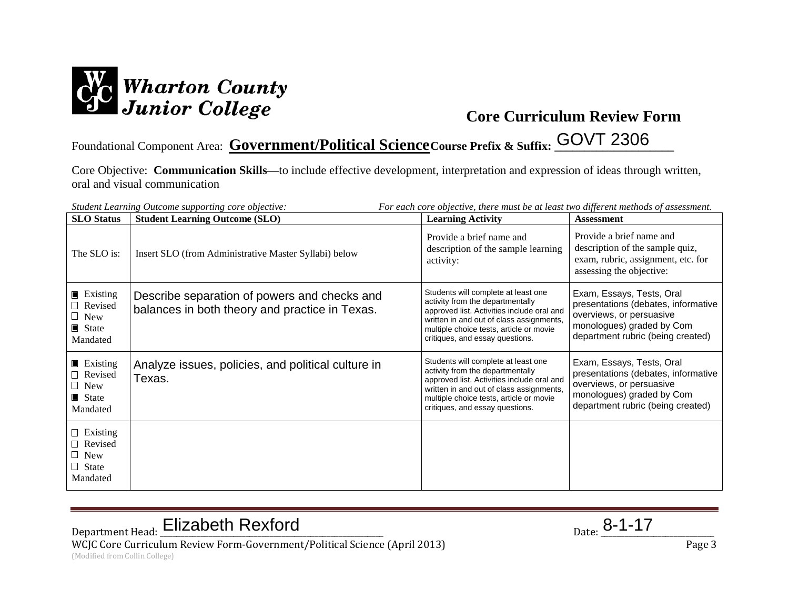

## Foundational Component Area: Covernment/Political Science Course Prefix & Suffix: COVT 2306

Core Objective: **Communication Skills—**to include effective development, interpretation and expression of ideas through written, oral and visual communication

| For each core objective, there must be at least two different methods of assessment.<br>Student Learning Outcome supporting core objective: |                                                                                                |                                                                                                                                                                                                                                                 |                                                                                                                                                                |  |  |
|---------------------------------------------------------------------------------------------------------------------------------------------|------------------------------------------------------------------------------------------------|-------------------------------------------------------------------------------------------------------------------------------------------------------------------------------------------------------------------------------------------------|----------------------------------------------------------------------------------------------------------------------------------------------------------------|--|--|
| <b>SLO</b> Status                                                                                                                           | <b>Student Learning Outcome (SLO)</b>                                                          | <b>Learning Activity</b>                                                                                                                                                                                                                        | <b>Assessment</b>                                                                                                                                              |  |  |
| The SLO is:                                                                                                                                 | Insert SLO (from Administrative Master Syllabi) below                                          | Provide a brief name and<br>description of the sample learning<br>activity:                                                                                                                                                                     | Provide a brief name and<br>description of the sample quiz,<br>exam, rubric, assignment, etc. for<br>assessing the objective:                                  |  |  |
| $\blacksquare$ Existing<br>□ Revised<br>$\Box$ New<br>$\blacksquare$ State<br>Mandated                                                      | Describe separation of powers and checks and<br>balances in both theory and practice in Texas. | Students will complete at least one<br>activity from the departmentally<br>approved list. Activities include oral and<br>written in and out of class assignments,<br>multiple choice tests, article or movie<br>critiques, and essay questions. | Exam, Essays, Tests, Oral<br>presentations (debates, informative<br>overviews, or persuasive<br>monologues) graded by Com<br>department rubric (being created) |  |  |
| $\blacksquare$ Existing<br>$\Box$ Revised<br>$\Box$ New<br>$\blacksquare$ State<br>Mandated                                                 | Analyze issues, policies, and political culture in<br>Texas.                                   | Students will complete at least one<br>activity from the departmentally<br>approved list. Activities include oral and<br>written in and out of class assignments,<br>multiple choice tests, article or movie<br>critiques, and essay questions. | Exam, Essays, Tests, Oral<br>presentations (debates, informative<br>overviews, or persuasive<br>monologues) graded by Com<br>department rubric (being created) |  |  |
| $\Box$ Existing<br>$\Box$ Revised<br>$\Box$ New<br>$\Box$ State<br>Mandated                                                                 |                                                                                                |                                                                                                                                                                                                                                                 |                                                                                                                                                                |  |  |

# Department Head: Elizabeth Rexford Department Head: <u>Elizabeth Rexford</u> Parte 2014

WCJC Core Curriculum Review Form-Government/Political Science (April 2013) Page 3 (Modified from Collin College)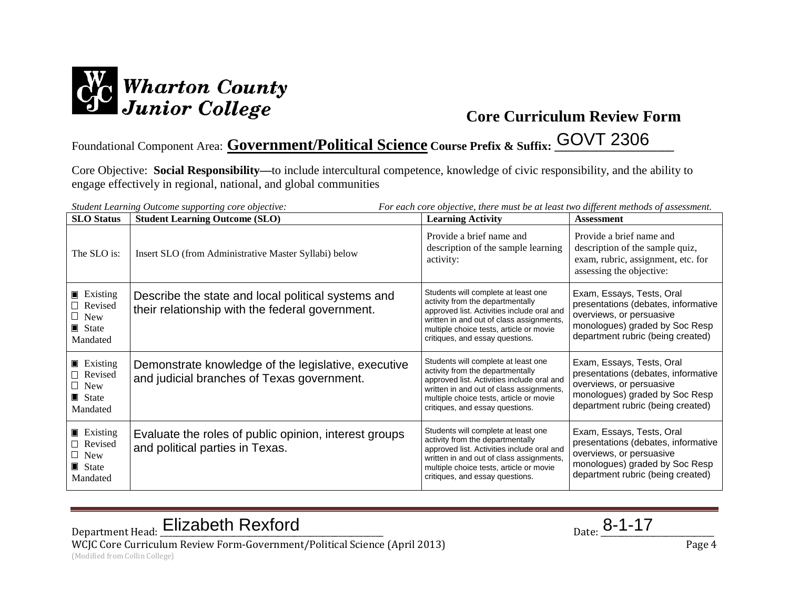

## Foundational Component Area: **Government/Political Science Course Prefix & Suffix: \_\_\_\_\_\_\_\_\_\_\_\_\_\_\_\_\_\_\_\_** GOVT 2306

Core Objective: **Social Responsibility—**to include intercultural competence, knowledge of civic responsibility, and the ability to engage effectively in regional, national, and global communities

| For each core objective, there must be at least two different methods of assessment.<br>Student Learning Outcome supporting core objective: |                                                                                                       |                                                                                                                                                                                                                                                 |                                                                                                                                                                     |  |  |
|---------------------------------------------------------------------------------------------------------------------------------------------|-------------------------------------------------------------------------------------------------------|-------------------------------------------------------------------------------------------------------------------------------------------------------------------------------------------------------------------------------------------------|---------------------------------------------------------------------------------------------------------------------------------------------------------------------|--|--|
| <b>SLO</b> Status                                                                                                                           | <b>Student Learning Outcome (SLO)</b>                                                                 | <b>Learning Activity</b>                                                                                                                                                                                                                        | <b>Assessment</b>                                                                                                                                                   |  |  |
| The SLO is:                                                                                                                                 | Insert SLO (from Administrative Master Syllabi) below                                                 | Provide a brief name and<br>description of the sample learning<br>activity:                                                                                                                                                                     | Provide a brief name and<br>description of the sample quiz,<br>exam, rubric, assignment, etc. for<br>assessing the objective:                                       |  |  |
| $\blacksquare$ Existing<br>$\Box$ Revised<br>$\Box$ New<br>$\blacksquare$ State<br>Mandated                                                 | Describe the state and local political systems and<br>their relationship with the federal government. | Students will complete at least one<br>activity from the departmentally<br>approved list. Activities include oral and<br>written in and out of class assignments,<br>multiple choice tests, article or movie<br>critiques, and essay questions. | Exam, Essays, Tests, Oral<br>presentations (debates, informative<br>overviews, or persuasive<br>monologues) graded by Soc Resp<br>department rubric (being created) |  |  |
| $\blacksquare$ Existing<br>$\Box$ Revised<br>$\Box$ New<br>$\blacksquare$ State<br>Mandated                                                 | Demonstrate knowledge of the legislative, executive<br>and judicial branches of Texas government.     | Students will complete at least one<br>activity from the departmentally<br>approved list. Activities include oral and<br>written in and out of class assignments,<br>multiple choice tests, article or movie<br>critiques, and essay questions. | Exam, Essays, Tests, Oral<br>presentations (debates, informative<br>overviews, or persuasive<br>monologues) graded by Soc Resp<br>department rubric (being created) |  |  |
| $\blacksquare$ Existing<br>Revised<br>$\Box$ New<br>$\blacksquare$ State<br>Mandated                                                        | Evaluate the roles of public opinion, interest groups<br>and political parties in Texas.              | Students will complete at least one<br>activity from the departmentally<br>approved list. Activities include oral and<br>written in and out of class assignments,<br>multiple choice tests, article or movie<br>critiques, and essay questions. | Exam, Essays, Tests, Oral<br>presentations (debates, informative<br>overviews, or persuasive<br>monologues) graded by Soc Resp<br>department rubric (being created) |  |  |

Department Head: Elizabeth Rexford Department Head: <u>Elizabeth Rexford</u> Parte 2014

WCJC Core Curriculum Review Form-Government/Political Science (April 2013) Page 4

(Modified from Collin College)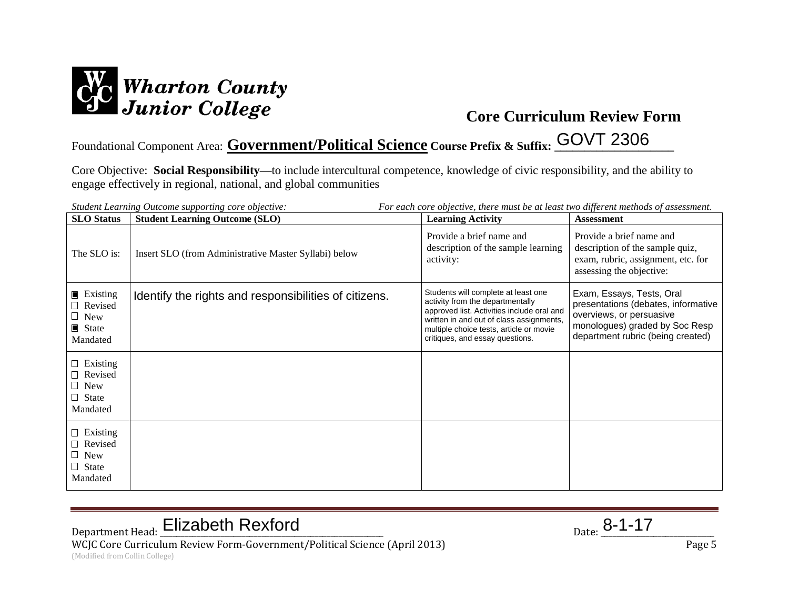

## Foundational Component Area: **Government/Political Science Course Prefix & Suffix: \_\_\_\_\_\_\_\_\_\_\_\_\_\_\_\_\_\_\_\_** GOVT 2306

Core Objective: **Social Responsibility—**to include intercultural competence, knowledge of civic responsibility, and the ability to engage effectively in regional, national, and global communities

| For each core objective, there must be at least two different methods of assessment.<br>Student Learning Outcome supporting core objective: |                                                       |                                                                                                                                                                                                                                                 |                                                                                                                                                                     |  |  |
|---------------------------------------------------------------------------------------------------------------------------------------------|-------------------------------------------------------|-------------------------------------------------------------------------------------------------------------------------------------------------------------------------------------------------------------------------------------------------|---------------------------------------------------------------------------------------------------------------------------------------------------------------------|--|--|
| <b>SLO</b> Status                                                                                                                           | <b>Student Learning Outcome (SLO)</b>                 | <b>Learning Activity</b>                                                                                                                                                                                                                        | <b>Assessment</b>                                                                                                                                                   |  |  |
| The SLO is:                                                                                                                                 | Insert SLO (from Administrative Master Syllabi) below | Provide a brief name and<br>description of the sample learning<br>activity:                                                                                                                                                                     | Provide a brief name and<br>description of the sample quiz,<br>exam, rubric, assignment, etc. for<br>assessing the objective:                                       |  |  |
| $\blacksquare$ Existing<br>$\Box$ Revised<br>$\Box$ New<br>$\blacksquare$ State<br>Mandated                                                 | Identify the rights and responsibilities of citizens. | Students will complete at least one<br>activity from the departmentally<br>approved list. Activities include oral and<br>written in and out of class assignments,<br>multiple choice tests, article or movie<br>critiques, and essay questions. | Exam, Essays, Tests, Oral<br>presentations (debates, informative<br>overviews, or persuasive<br>monologues) graded by Soc Resp<br>department rubric (being created) |  |  |
| $\Box$ Existing<br>$\Box$ Revised<br>$\Box$ New<br>$\Box$ State<br>Mandated                                                                 |                                                       |                                                                                                                                                                                                                                                 |                                                                                                                                                                     |  |  |
| $\Box$ Existing<br>$\Box$ Revised<br>$\Box$ New<br>$\Box$ State<br>Mandated                                                                 |                                                       |                                                                                                                                                                                                                                                 |                                                                                                                                                                     |  |  |

# Department Head: Elizabeth Rexford Department Head: <u>Elizabeth Rexford</u> Parte 2014

WCJC Core Curriculum Review Form-Government/Political Science (April 2013) Page 5 (Modified from Collin College)